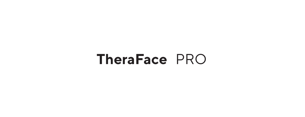# **TheraFace** PRO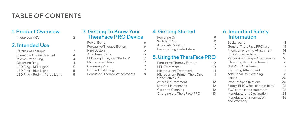## TABLE OF CONTENTS

## 1. Product Overview

TheraFace PRO 2

### 2. Intended Use

| Percussive Therapy              | 3 |
|---------------------------------|---|
| TheraOne Conductive Gel         | 4 |
| Microcurrent Ring               | 4 |
| Cleansing Ring                  | 4 |
| LED Ring - RED Light            | 5 |
| LED Ring - Blue Light           | 5 |
| LED Ring - Red + Infrared Light | 5 |
|                                 |   |

#### 3. Getting To Know Your TheraFace PRO Device

| Power Button                   | 6 |
|--------------------------------|---|
| Percussive Therapy Button      | 6 |
| <b>Ring Button</b>             | 6 |
| Attachment Ring                | 6 |
| LED Ring: Blue/Red/Red + IR    |   |
| Microcurrent Ring              | 7 |
| Cleansing Ring                 | 7 |
| Hot and Cold Rings             | 7 |
| Percussive Therapy Attachments | 8 |
|                                |   |

## 4. Getting Started

| Powering On                 |  |
|-----------------------------|--|
| Switching Off               |  |
| Automatic Shut Off          |  |
| Basic getting started steps |  |

## 5. Using the TheraFace PRO

| Percussive Therapy Feature                      | 10 |
|-------------------------------------------------|----|
| I FD Treatment                                  | 10 |
| Microcurrent Treatment                          | 11 |
| Microcurrent Primer: TheraOne<br>Conductive Gel | 11 |
| After Skin Treatment                            | 12 |
| Device Maintenance                              | 12 |
| Care and Cleaning                               | 12 |
| Charging the TheraFace PRO                      | 13 |
|                                                 |    |

#### 6. Important Safety **Information**

| Background                               | 13 |
|------------------------------------------|----|
| General TheraFace PRO Use                | 14 |
| Microcurrent Ring Attachment             | 14 |
| <b>LED Ring Attachment</b>               | 15 |
| Percussive Therapy Attachments           | 16 |
| Cleansing Ring Attachment                | 16 |
| Hot Ring Attachment                      | 17 |
| Cold Ring Attachment                     | 17 |
| Additional Unit Warning                  | 18 |
| Labels                                   | 20 |
| <b>Product Specifications</b>            | 20 |
| Safety, EMC & Bio-compatibility          | 22 |
| FCC compliance statement                 | 22 |
| Manufacturer's Declaration               | 23 |
| Manufacturer Information<br>and Warranty | 26 |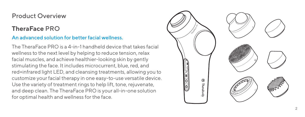## Product Overview

## **TheraFace** PRO

## An advanced solution for better facial wellness.

The TheraFace PRO is a 4-in-1 handheld device that takes facial wellness to the next level by helping to reduce tension, relax facial muscles, and achieve healthier-looking skin by gently stimulating the face. It includes microcurrent, blue, red, and red+infrared light LED, and cleansing treatments, allowing you to customize your facial therapy in one easy-to-use versatile device. Use the variety of treatment rings to help lift, tone, rejuvenate, and deep clean. The TheraFace PRO is your all-in-one solution for optimal health and wellness for the face.

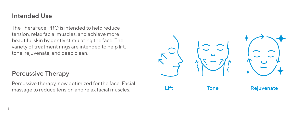## Intended Use

The TheraFace PRO is intended to help reduce tension, relax facial muscles, and achieve more beautiful skin by gently stimulating the face. The variety of treatment rings are intended to help lift, tone, rejuvenate, and deep clean.

## Percussive Therapy

Percussive therapy, now optimized for the face. Facial

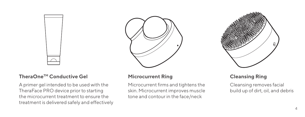## **TheraOneTM Conductive Gel**

A primer gel intended to be used with the TheraFace PRO device prior to starting the microcurrent treatment to ensure the treatment is delivered safely and effectively



#### **Microcurrent Ring Cleansing Ring**

Microcurrent firms and tightens the skin. Microcurrent improves muscle tone and contour in the face/neck



Cleansing removes facial build up of dirt, oil, and debris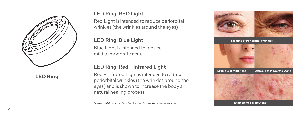

**LED Ring**

### LED Ring: RED Light

Red Light is intended to reduce periorbital wrinkles (the wrinkles around the eyes)

## LED Ring: Blue Light

Blue Light is intended to reduce mild to moderate acne

#### LED Ring: Red + Infrared Light

Red + Infrared Light is intended to reduce periorbital wrinkles (the wrinkles around the eyes) and is shown to increase the body's natural healing process

*\*Blue Light is not intended to treat or reduce severe acne*

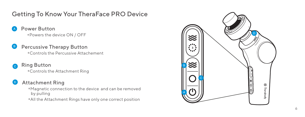## Getting To Know Your TheraFace PRO Device

Power Button **<sup>0</sup>** Powers the device ON / OFF

#### Percussive Therapy Button 6

**<sup>0</sup>**Controls the Percussive Attachement

# Ring Button

**<sup>0</sup>**Controls the Attachment Ring

#### D) Attachment Ring

- **<sup>0</sup>**Magnetic connection to the device and can be removed by pulling
- **<sup>0</sup>** All the Attachment Rings have only one correct position

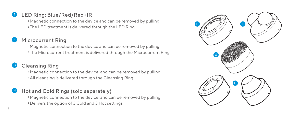## LED Ring: Blue/Red/Red+IR

Magnetic connection to the device and can be removed by pulling The LED treatment is delivered through the LED Ring

## Microcurrent Ring

Magnetic connection to the device and can be removed by pulling The Microcurrent treatment is delivered through the Microcurrent Ring

## Cleansing Ring

Magnetic connection to the device and can be removed by pulling All cleansing is delivered through the Cleansing Ring

### Hot and Cold Rings (sold separately)

Magnetic connection to the device and can be removed by pulling Delivers the option of 3 Cold and 3 Hot settings

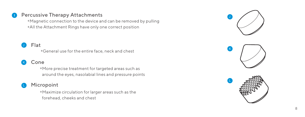#### Percussive Therapy Attachments

**<sup>0</sup>**Magnetic connection to the device and can be removed by pulling **<sup>0</sup>** All the Attachment Rings have only one correct position

#### Flat J

#### Cone K

<sup>o</sup>General use for the entire face, neck and chest<br> **Cone**<br>
<sup>o</sup>More precise treatment for targeted areas such<br>
around the eyes, nasolabial lines and pressure p<br> **Micropoint <sup>0</sup>**More precise treatment for targeted areas such as around the eyes, nasolabial lines and pressure points

## L

**<sup>0</sup>**Maximize circulation for larger areas such as the forehead, cheeks and chest





L

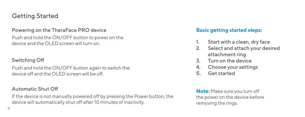## Getting Started

#### Powering on the TheraFace PRO device

Push and hold the ON/OFF button to power on the device and the OLED screen will turn on.

## Switching Off

Push and hold the ON/OFF button again to switch the device off and the OLED screen will be off.

If the device is not manually powered off by pressing the Power button, the device will automatically shut off after 10 minutes of inactivity.

## **Basic getting started steps:**

- 1. Start with a clean, dry face
- 2. Select and attach your desired attachment ring
- 3. Turn on the device
- 4. Choose your settings
- 5. Get started

Automatic Shut Off **Note:** Make sure you turn off the power on the device before removing the rings.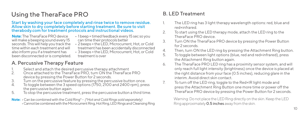## Using the TheraFace PRO

Start by washing your face completely and rinse twice to remove residue. Allow skin to dry completely before starting treatment. Be sure to visit therabody.com for treatment protocols and instructional videos.

**Note:** The TheraFace PRO device will make a beeping sound every 15 seconds. This will help you track the time within each treatment and will also inform you if a treatment has been disconnected or is completed.

- 1 beep = timed feedback every 15 sec so you can time their protocols better
- 2 beeps = the LED, Microcurrent, Hot, or Cold treatment has been accidentally disconnected
- 3 beeps = the LED, Microcurrent, Hot, or Cold treatment is over

## A. Percussive Therapy Feature

- 1. Select and attach the desired percussive therapy attachment 2. Once attached to the TheraFace PRO, turn ON the TheraFace PRO
- device by pressing the Power Button for 2 seconds.
- 3. Turn on the percussive feature by pressing the percussive button once.<br>4 To togale between the 3 speed ontions (1750–2100 and 2400 rpm), pre-
- To toggle between the 3 speed options (1750, 2100 and 2400 rpm), press the percussive button again.
- 5. To stop the percussive treatment, press the percussive button a third time.
- **Note:**  Can be combined with the Cold Ring\*  *(\*Hot and Cold Rings sold separately)* • Cannot be combined with the Microcurrent Ring, Hot Ring, LED Rings and Cleansing Ring

## B. LED Treatment

- 1. The LED ring has 3 light therapy wavelength options: red, blue and red+infrared.
- 2 To start using the LED therapy mode, attach the LED ring to the TheraFace PRO device.
- 3. Turn ON the TheraFace PRO device by pressing the Power Button for 2 seconds.
- 4. Then, turn ON the LED ring by pressing the Attachment Ring button.<br>5. To togale between light options (blue, red and red-infrared), press.
- 5. To toggle between light options (blue, red and red+infrared), press the Attachment Ring button again.
- 6. The TheraFace PRO LED ring has a proximity sensor system, and will only reach full light intensity (brightness) once the device is placed at the right distance from your face (0.5 inches), reducing glare in the interim. Avoid direct skin contact.
- 7. To turn off the LED ring, toggle to the Red+IR light mode and press the Attachment Ring Button one more time or power off the TheraFace PRO device by pressing the Power Button for 2 seconds.

Warning: Do not place the LED Ring directly on the skin. Keep the LED Ring approximately 0.5 inches away from the skin.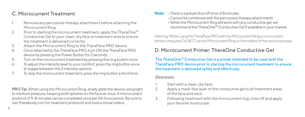### C. Microcurrent Treatment

- Remove any percussive therapy attachment before attaching the Microcurrent Ring.
- 2. Prior to starting the microcurrent treatment, apply the TheraOne™ Conductive Gel to your clean, dry face or treatment area to ensure the treatment is delivered correctly.
- 3. Attach the Microcurrent Ring to the TheraFace PRO device.
- 4. Once attached to the TheraFace PRO, turn ON the TheraFace PRO device by pressing the Power Button for 2 seconds.
- 5. Turn on the microcurrent treatment by pressing the ring button once.
- 6. To adjust the intensity level to your comfort, press the ring button once to toggle between the 3 intensity options.
- 7. To stop the microcurrent treatment, press the ring button a third time.

PRO Tip: When using the Microcurrent Ring, slowly glide the device using light to medium pressure, keeping both spheres on the face at once. A microcurrent protocol of 5-8 minutes can be completed once per 24-hour period. Be sure to visit therabody.com for treatment protocols and instructional videos.

**Note:** • There is a preset shut off time of 8 minutes

- Cannot be combined with the percussive therapy attachments
- While the Microcurrent Ring will work with any conductive gel, we recommend the TheraOne™ Conductive Gel if available in your market.

Warning: When using the TheraFace PRO with the Microcurrent Ring, a microcurrent primer is required. Do NOT use the Microcurrent Ring on the midline of the neck or eye area.

## D. Microcurrent Primer: TheraOne Conductive Gel

The TheraOne™ Conductive Gel is a primer intended to be used with the TheraFace PRO device prior to starting the microcurrent treatment to ensure the treatment is delivered safely and effectively.

#### Directions:

- Start with a clean, dry face.
- 2. Apply a mask-like layer of the conductive gel to all treatment areas of the face and neck.
- 3. Following treatment with the microcurrent ring, rinse off and apply your favorite moisturizer.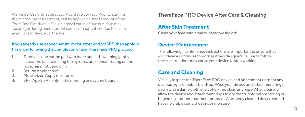Warnings: Use only as directed. Avoid eye contact. Prior to starting TheraFace PRO Device After Care & Cleaning<br>the microcurrent treatment, test by applying a small amount of the TheraOne Conductive Gel on a small patch of skin first. Skin may absorb gel during microcurrent session; reapply if needed to ensure even glide of device on the skin.

#### If you already use a toner, serum, moisturizer, and/or SPF, then apply in this order following the completion of any TheraFace PRO protocol:

- Tone: Use one cotton pad with toner applied sweeping gently across the face, avoiding the eye area and concentrating on the nose, nasal fold, and chin
- 2. Serum: Apply serum
- 3. Moisturizer: Apply moisturizer
- 4. SPF: Apply SPF only in the morning or daytime hours

#### **After Skin Treatment**

Clean your face with a warm, damp washcloth.

## **Device Maintenance**

The following maintenance instructions are important to ensure that your device continues to work as it was designed. Failure to follow these instructions may cause your device to stop working.

## **Care and Cleaning**

Visually inspect the TheraFace PRO device and attachment rings for any obvious signs of debris build-up. Wipe your device and attachment rings down with a damp cloth or alcohol-free cleansing wipe. After cleaning, allow the device and attachment rings to dry thoroughly before storing or beginning another treatment protocol. A properly cleaned device should have no visible signs of debris or moisture.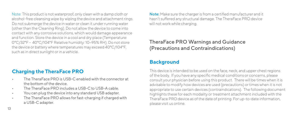Note: This product is not waterproof, only clean with a damp cloth or alcohol-free cleansing wipe by wiping the device and attachment rings. Do not submerge the device in water or clean it under running water (other than the Cleaning Ring). Do not allow the device to come into contact with any corrosive solutions, which would damage appearance and function. Store the device in a cool and dry place (Temperature: 0°C/32°F - 40°C/104°F Relative humidity: 10~95% RH). Do not store the device or battery where temperatures may exceed 40°C/104°F, such as in direct sunlight or in a vehicle.

#### **Charging the TheraFace PRO**

- The TheraFace PRO is USB-C enabled with the connector at the bottom of the device.
- The TheraFace PRO includes a USB-C to USB-A cable.
- You can plug the device into any standard USB adapter.
- The TheraFace PRO allows for fast-charging if charged with a USB-C adapter.

Note: Make sure the charger is from a certified manufacturer and it hasn't suffered any structural damage. The TheraFace PRO device will not work while charging.

## TheraFace PRO Warnings and Guidance (Precautions and Contraindications)

#### **Background**

This device is intended to be used on the face, neck, and upper chest regions of the body. If you have any specific medical conditions or concerns, please consult your physician before using this product. There will be times when it is advisable to modify how devices are used (precautions) or times when it is not appropriate to use certain devices (contraindications). The following document highlights these for each modality or treatment attachment included with the TheraFace PRO device as of the date of printing. For up-to-date information, please visit us online.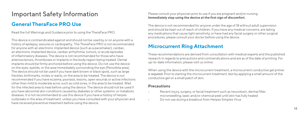## Important Safety Information

#### **General TheraFace PRO Use**

Read the full Warnings and Guidance prior to using the TheraFace PRO.

This device is contraindicated against and should not be used by or on anyone with a history of epilepsy, seizures or cardiopathy. The TheraFace PRO is not recommended for anyone with an electronic implanted device (such as a pacemaker), cardiac, an electronic implanted device, cardiac arrhythmia, tumors, or acute episodes of inflammatory diseases. The device is not recommended for those who have arteriosclerosis, thromboses or implants in the body region being treated. Dental implants should be firmly anchored before using the device. Do not use the device on the eyes, eyelids, or the area immediately surrounding the eye (Periorbita area). The device should not be used if you have dark brown or black spots, such as large freckles, birthmarks, moles or warts, on the area to be treated. The device is not recommended if you have eczema, psoriasis, lesions, open wounds or active infections other than mild to moderate acne, such as cold sores, in the area to be treated. Wait for the infected area to heal before using the device. The device should not be used if you have abnormal skin conditions caused by diabetes or other systemic or metabolic diseases. It is not recommended to use this device if you have a history of herpes outbreaks in the area of treatment, unless you have consulted with your physician and have received preventive treatment before using the device.

Please consult your physician prior to use if you are pregnant and/or nursing. **Immediately stop using the device at the first sign of discomfort.** 

The device is not recommended for anyone under the age of 18 without adult supervision and should be kept out of reach of children. If you have any medical concerns, are taking any medications that cause light sensitivity, or have had any facial surgery or other surgical procedures, please consult your doctor before using the device.

#### **Microcurrent Ring Attachment**

These recommendations are derived from consultation with medical experts and the published research in regards to precautions and contraindications and are as of the date of printing. For up-to-date information, please visit us online.

When using the device with the microcurrent treatment, a microcurrent conductive gel primer is required. Prior to starting the microcurrent treatment, test by applying a small amount of the conductive gel on a small patch of skin.

#### **Precautions**

- Recent injury, surgery, or facial treatment such as neurotoxin, dermal filler, microneedling, laser, and/or chemical peel until skin has fully healed
- Do not use during a breakout from Herpes Simplex Virus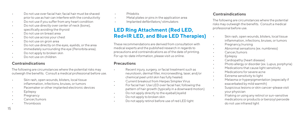- Do not use over facial hair; facial hair must be shaved prior to use as hair can interfere with the conductivity
- Do not use if you suffer from any heart condition
- Do not use directly over center of neck (bone), specifically avoiding the thyroid
- Do not use on breast area
- Do not use across your chest
- Do not use on groin area
- Do not use directly on the eyes, eyelids, or the area immediately surrounding the eye (Periorbita area).
- Do not apply to broken skin
- Do not use on children

#### **Contraindications**

The following are circumstances where the potential risks may outweigh the benefits. Consult a medical professional before use.

- Skin rash, open wounds, blisters, local tissue inflammation, infections, bruises, or tumors
- Pacemaker or other implanted electronic devices
- Epilepsy
- Pregnancy
- Cancer/tumors
- **Thrombosis**
- Phlebitis
- Metal plates or pins in the application area
- Implanted defibrillators/ stimulators

#### **LED Ring Attachment (Red LED, Red+IR LED, and Blue LED Therapies)**

These recommendations are derived from consultation with medical experts and the published research in regards to precautions and contraindications as of the date of printing. For up-to-date information, please visit us online.

#### **Precautions**

- Recent injury, surgery, or facial treatment such as neurotoxin, dermal filler, microneedling, laser, and/or chemical peel until skin has fully healed.
- Current breakout from Herpes Simplex Virus
- For facial hair: Use LED over facial hair, following the pattern of hair growth (typically in a downward motion)
- Do not apply directly to the eyeball/eyelid
- Do not apply to broken skin
- Do not apply retinol before use of red LED light

#### **Contraindications**

The following are circumstances where the potential risks may outweigh the benefits. Consult a medical professional before use.

- Skin rash, open wounds, blisters, local tissue inflammation, infections, bruises, or tumors
- Pregnancy/nursing
- Abnormal sensations (ex. numbness)
- Cancer/tumors
- Epilepsy
- Cardiopathy (heart disease)
- Photo allergy or disorder (ex. Lupus, porphyria)
- Medications that cause light sensitivity
- Medications for severe acne
- Extreme sensitivity to light
- Melasma or hyperpigmentation (especially if exacerbated by mild warmth)
- Suspicious lesions or skin cancer–please visit your physician
- If taking or using any retinol or sun-sensitive medications or products or benzoyl peroxide do not use infrared light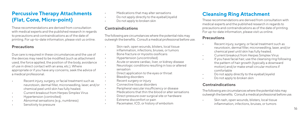#### **Percussive Therapy Attachments (Flat, Cone, Micro-point)**

These recommendations are derived from consultation with medical experts and the published research in regards to precautions and contraindications as of the date of printing. For up-to-date information, please visit us online.

#### **Precautions**

Due care is required in these circumstances and the use of the devices may need to be modified (such as attachment used, the force applied, the position of the body, avoidance of use in direct contact with an area, etc.). Where appropriate or if you have any concerns, seek the advice of a medical professional.

- Recent injury, surgery, or facial treatment such as neurotoxin, dermal filler, microneedling, laser, and/or chemical peel until skin has fully healed.
- Current breakout from Herpes Simplex Virus
- Hypertension (controlled)
- Abnormal sensations (e.g., numbness)
- Sensitivity to pressure
- Medications that may alter sensations
- Do not apply directly to the eyeball/eyelid
- Do not apply to broken skin

#### **Contraindications**

The following are circumstances where the potential risks may outweigh the benefits. Consult a medical professional before use.

- Skin rash, open wounds, blisters, local tissue inflammation, infections, bruises, or tumors
- Bone fracture or myositis ossificans
- Hypertension (uncontrolled)
- Acute or severe cardiac, liver, or kidney disease • Neurologic conditions resulting in loss or altered sensation
- Direct application to the eyes or throat
- Bleeding disorders
- Recent surgery or injury
- Connective tissue disorders
- Peripheral vascular insufficiency or disease
- Medications that thin the blood or alter sensations
- Direct pressure over surgical site or hardware
- Extreme discomfort or pain
- Pacemaker, ICD, or history of embolism

## **Cleansing Ring Attachment**

These recommendations are derived from consultation with medical experts and the published research in regards to precautions and contraindications as of the date of printing. For up-to-date information, please visit us online.

#### **Precautions**

- Recent injury, surgery, or facial treatment such as neurotoxin, dermal filler, microneedling, laser, and/or chemical peel until skin has fully healed.
- Current breakout from Herpes Simplex Virus
- If you have facial hair, use the cleansing ring following the pattern of hair growth (typically a downward motion) and/or make small circular motions if comfortable
- Do not apply directly to the eyeball/eyelid
- Do not apply to broken skin

#### **Contraindications**

The following are circumstances where the potential risks may outweigh the benefits. Consult a medical professional before use.

• Skin rash, open wounds, blisters, local tissue inflammation, infections, bruises, or tumors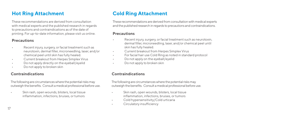These recommendations are derived from consultation with medical experts and the published research in regards to precautions and contraindications as of the date of printing. For up-to-date information, please visit us online.

#### **Precautions**

- Recent injury, surgery, or facial treatment such as neurotoxin, dermal filler, microneedling, laser, and/or chemical peel until skin has fully healed.
- Current breakout from Herpes Simplex Virus
- Do not apply directly on the eyeball/eyelid
- Do not apply to broken skin

#### **Contraindications**

The following are circumstances where the potential risks may outweigh the benefits. Consult a medical professional before use.

Skin rash, open wounds, blisters, local tissue inflammation, infections, bruises, or tumors

## **Hot Ring Attachment Cold Ring Attachment**

These recommendations are derived from consultation with medical experts and the published research in regards to precautions and contraindications.

#### **Precautions**

- Recent injury, surgery, or facial treatment such as neurotoxin dermal filler, microneedling, laser, and/or chemical peel until skin has fully healed.
- Current breakout from Herpes Simplex Virus
- For facial hair use Cold Ring as noted in standard protocol
- Do not apply on the eyeball/evelid
- Do not apply to broken skin

#### **Contraindications**

The following are circumstances where the potential risks may outweigh the benefits. Consult a medical professional before use.

- Skin rash, open wounds, blisters, local tissue inflammation, infections, bruises, or tumors
- Cold hypersensitivity/Cold urticaria
- Circulatory insufficiency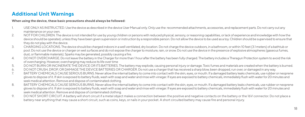#### **Additional Unit Warnings**

#### **When using the device, these basic precautions should always be followed:**

- 1. USE ONLY AS INSTRUCTED. Use the device as described in the device User Manual only. Only use the recommended attachments, accessories, and replacement parts. Do not carry out any maintenance on your own.
- 2. NOT FOR CHILDREN. The device is not intended for use by young children or persons with reduced physical, sensory, or reasoning capabilities, or lack of experience and knowledge with how the device should be operated, unless they have been given supervision or instruction by a responsible person. Do not allow the device to be used as a toy. Children should be supervised to ensure that they do not play with the device.
- 3. CHARGING LOCATIONS. The device should be charged indoors in a well ventilated, dry location. Do not charge the device outdoors, in a bathroom, or within 10 feet (3.1 meters) of a bathtub or pool. Do not use the device or charger on wet surfaces and do not expose the charger to moisture, rain, or snow. Do not use the device in the presence of explosive atmospheres (gaseous fumes, dust, or flammable materials). Sparks may be generated, possibly causing a fire.
- 4. DO NOT OVERCHARGE. Do not leave the battery in the Charger for more than 1 hour after the battery has been fully charged. The battery includes a Theragun Protection system to avoid the risk of overcharging. However, overcharging may reduce its life over time
- 5. DO NOT BURN OR INCINERATE THE DEVICE OR ITS BATTERIES. The battery may explode, causing personal injury or damage. Toxic fumes and materials are created when the battery is burned.<br>6. DO NOT CRUSH DROP OR DAMAGE THE DEV
- 6. DO NOT CRUSH, DROP, OR DAMAGE THE DEVICE BATTERIES OR CHARGER. Do not use a charger that has received as sharp blow, been dropped, run over, or damaged in any way.<br>The a structure of the dropped and the state of the sta
- 7. BATTERY CHEMICALS CAUSE SERIOUS BURNS. Never allow the internal battery to come into contact with the skin, eyes, or mouth. If a damaged battery leaks chemicals, use rubber or neoprene gloves to dispose of it. If skin is exposed to battery fluids, wash with soap and water and rinse with vinegar. If eyes are exposed to battery chemicals, immediately flush with water for 20 minutes and seek medical attention. Remove and dispose of contaminated clothing.
- 8. BATTERY CHEMICALS CAUSE SERIOUS BURNS. Never allow the internal battery to come into contact with the skin, eyes, or mouth. If a damaged battery leaks chemicals, use rubber or neoprene gloves to dispose of it. If skin is exposed to battery fluids, wash with soap and water and rinse with vinegar. If eyes are exposed to battery chemicals, immediately flush with water for 20 minutes and seek medical attention. Remove and dispose of contaminated clothing.
- 9. DO NOT SHORT CIRCUIT. A battery will short circuit if a metal object makes a connection between the positive and negative contacts on the battery or the 16V connector. Do not place a battery near anything that may cause a short circuit, such as coins, keys, or nails in your pocket. A short circuited battery may cause fire and personal injury.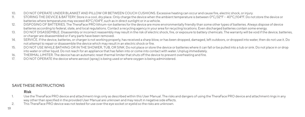- 10. DO NOT OPERATE UNDER BLANKET AND PILLOW OR BETWEEN COUCH CUSHIONS. Excessive heating can occur and cause fire, electric shock, or injury.<br>11 STORING THE DEVICE & BATTERY Store in a cool druplace. Only charge the device
- STORING THE DEVICE & BATTERY. Store in a cool, dry place. Only charge the device when the ambient temperature is between 0°C/32°F 40°C/104°F. Do not store the device or batteries where temperatures may exceed 40°C/104°F, such as in direct sunlight or in a vehicle.
- 12. DISPOSING OF BATTERIES. The TheraFace PRO lithium-ion batteries for the device are more environmentally friendly than some other types of batteries. Always dispose of device batteries according to federal, state, and local regulations. Contact a recycling agency in your area for recycling locations. Even discharged batteries contain some energy.
- 13. DO NOT DISASSEMBLE. Disassembly or incorrect reassembly may result in the risk of electric shock, fire, or exposure to battery chemicals. The warranty will be void if the device, batteries, or charger are disassembled or if any parts have been removed.
- 14. SERVICE. If the device, batteries, or charger is not working properly, has received a sharp blow, or has been dropped, damaged, left outdoors, or dropped into water, then do not use it. Do not attempt to repair or disassemble the device which may result in an electric shock or fire.
- 15. DO NOT USE WHILE BATHING OR IN THE SHOWER, TUB, OR SINK. Do not place or store the device or batteries where it can fall or be pulled into a tub or sink. Do not place in or drop into water or other liquid. Do not reach for an appliance that has fallen into or come into contact with water. Unplug immediately.
- 16. THERMAL LIMITER. The device has an automatic reset thermal limiter that shuts off the device to prevent overheating and fire.<br>17. DO NOT OPERATE the device where aerosol (spray) is being used or where oxygen is being a
- 17. DO NOT OPERATE the device where aerosol (spray) is being used or where oxygen is being administered.

#### SAVE THESE INSTRUCTIONS

#### **Risk**

- Use the TheraFace PRO device and attachment rings only as described within this User Manual. The risks and dangers of using the TheraFace PRO device and attachment rings in any way other than specified in the provided User Manual are unknown and may result in negative side effects.
- 2. This TheraFace PRO device was not tested for use over the eye socket or eyelid so the risks are unknown.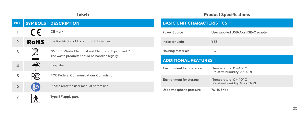|                |             | Labels                                                                                               |                                                        | <b>Product Specifications</b>                                    |
|----------------|-------------|------------------------------------------------------------------------------------------------------|--------------------------------------------------------|------------------------------------------------------------------|
| NO.            |             | <b>SYMBOLS DESCRIPTION</b>                                                                           | <b>BASIC UNIT CHARACTERISTICS</b>                      |                                                                  |
|                |             | CE mark                                                                                              | Power Source                                           | User supplied USB-A or USB-C adapter                             |
| $\overline{2}$ | <b>RoHS</b> | the Restriction of Hazardous Substances                                                              | Indicator Light                                        | <b>YES</b>                                                       |
| 3              | $\boxtimes$ | "WEEE (Waste Electrical and Electronic Equipment)".<br>The waste products should be handled legally. | <b>Housing Materials</b><br><b>ADDITIONAL FEATURES</b> | PC.                                                              |
| 4              | والمنفذ     | Keep dry                                                                                             | Environment for operation                              | Temperature: $0 \sim 40^{\circ}$ C                               |
| 5              | FC          | <b>FCC Federal Communications Commission</b>                                                         | Environment for storage                                | Relative humidity: <93% RH<br>Temperature: $0 \sim 40^{\circ}$ C |
| 6              | ř           | Please read the user manual before use                                                               |                                                        | Relative humidity: 10~95% RH                                     |
| 7              | 木           | Type BF apply part.                                                                                  | Use atmospheric pressure                               | 70-106Kpa                                                        |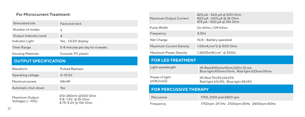#### **For Microcurrent Treatment:**

| Stimulated site               | Face and neck                   |
|-------------------------------|---------------------------------|
| Number of modes               | 3                               |
| <b>Output Intensity Level</b> | $\overline{a}$                  |
| Indicator Light               | Yes. OLED display               |
| <b>Timer Range</b>            | 5-8 minutes per day for 6 weeks |
| <b>Housing Materials</b>      | Console: PC plastic             |

#### **OUTPUT SPECIFICATION**

| Waveform                          | <b>Pulsed Biphasic</b>                                         |  |  |
|-----------------------------------|----------------------------------------------------------------|--|--|
| Operating voltage                 | $0 - 15.5V$                                                    |  |  |
| Maximum power                     | 24mW                                                           |  |  |
| Automatic shut-down               | Yes                                                            |  |  |
| Maximum Output<br>Voltage(+/-10%) | 210-280mV @500 Ohm<br>0.8-1.2V @ 2k Ohm<br>4.75-5.2V @ 10k Ohm |  |  |

| Maximum Output Current                                                 | 420 μA - 560 μA @ 500 Ohm<br>400 μA - 600 μA @ 2k Ohm<br>475 uA - 520 uA @ 10k Ohm |  |
|------------------------------------------------------------------------|------------------------------------------------------------------------------------|--|
| Pulse Width                                                            | On 60ms / Off 60ms                                                                 |  |
| Frequency                                                              | 8.3Hz                                                                              |  |
| Net Charge                                                             | N/A - Battery operated                                                             |  |
| Maximum Current Density                                                | 1.65mA/cm^2 @ 500 Ohm                                                              |  |
| $1.36125 \text{mW/cm}^2$ @ $500\Omega$<br><b>Maximum Power Density</b> |                                                                                    |  |
| <b>FOR LED TREATMENT</b>                                               |                                                                                    |  |
| Light wavelength                                                       | IR+Red:830nm±10nm/633 ± 10 nm                                                      |  |
|                                                                        | Blue light:415nm±10nm, Red light:633nm±10nm                                        |  |
| Power of light<br>$(mW/\!/ cm2)$                                       | IR+Red 70±5%/60±5%<br>Red light 60±5%, Blue light 45±5%                            |  |
| <b>FOR PERCUSSIVE THERAPY</b>                                          |                                                                                    |  |
| Percussive                                                             | 1750, 2100 and 2400 rpm                                                            |  |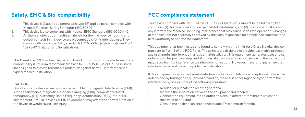#### **Safety, EMC & Bio-compatibility**

- This device is Class II equipment with type BF applied part. It complies with Medical Electrical Safety Standards (IEC 60601-1).
- 2. This device is also compliant with Medical EMC Standard (IEC 60601-1-2).<br>All the user directly contracting materials for the main device bousing and
- 3. All the user directly contracting materials for the main device housing and output contacts in this device are biocompatible for its intended use. They comply with biocompatibility standards ISO 10993-5 (Cytotoxicity) and ISO 10993-10 (Irritation and Sensitization).

The TheraFace PRO has been tested and found to comply with the electromagnetic compatibility (EMC) limits for medical device to IEC 60601-1-2: 2007. These limits are designed to provide reasonable protection against harmful interference in a typical medical installation.

#### CAUTION:

Do not apply the device near any devices with Electromagnetic Interference (EMI), such as cell phones, Magnetic Resonance Imaging (MRI), computerized axial tomography (CT), diathermy, Radio Frequency Identification (RFID), etc. or MR environment. EMI, RF devices or MR environment may affect the normal function of the device or would cause user injury.

#### **FCC compliance statement**

This device complies with Part 15 of the FCC Rules. Operation is subject to the following two conditions: (1) this device may not cause harmful interference, and (2) this device must accept any interference received, including interference that may cause undesired operation. Changes or modifications not expressly approved by the party responsible for compliance could void the user's authority to operate the equipment.

This equipment has been tested and found to comply with the limits for a Class B digital device, pursuant to Part 15 of the FCC Rules. These limits are designed to provide reasonable protection against harmful interference in a residential installation. This equipment generates, uses and can radiate radio frequency energy and, if not installed and used in accordance with the instructions, may cause harmful interference to radio communications. However, there is no guarantee that interference will not occur in a particular installation.

If this equipment does cause harmful interference to radio or television reception, which can be determined by turning the equipment off and on, the user is encouraged to try to correct the interference by one or more of the following measures:

- Reorient or relocate the receiving antenna.
- Increase the separation between the equipment and receiver.
- Connect the equipment into an outlet on a circuit different from that to which the receiver is connected.
- Consult the dealer or an experienced radio/TV technician for help.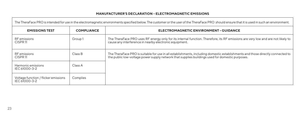#### **MANUFACTURER'S DECLARATION – ELECTROMAGNETIC EMISSIONS**

| The TheraFace PRO is intended for use in the electromagnetic environments specified below. The customer or the user of the TheraFace PRO should ensure that it is used in such an environment. |                   |                                                                                                                                                                                                                                   |  |
|------------------------------------------------------------------------------------------------------------------------------------------------------------------------------------------------|-------------------|-----------------------------------------------------------------------------------------------------------------------------------------------------------------------------------------------------------------------------------|--|
| <b>EMISSIONS TEST</b>                                                                                                                                                                          | <b>COMPLIANCE</b> | ELECTROMAGNETIC ENVIRONMENT - GUIDANCE                                                                                                                                                                                            |  |
| RF emissions<br>CISPR <sub>11</sub>                                                                                                                                                            | Group1            | The TheraFace PRO uses RF energy only for its internal function. Therefore, its RF emissions are very low and are not likely to<br>cause any interference in nearby electronic equipment.                                         |  |
| RF emissions<br>CISPR <sub>11</sub>                                                                                                                                                            | Class B           | The TheraFace PRO is suitable for use in all establishments, including domestic establishments and those directly connected to<br>the public low-voltage power supply network that supplies buildings used for domestic purposes. |  |
| Harmonic emissions<br>IFC 61000-3-2                                                                                                                                                            | Class A           |                                                                                                                                                                                                                                   |  |
| Voltage function / flicker emissions<br>IFC 61000-3-2                                                                                                                                          | Complies          |                                                                                                                                                                                                                                   |  |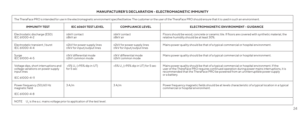#### **MANUFACTURER'S DECLARATION – ELECTROMAGNETIC IMMUNITY**

| The TheraFace PRO is intended for use in the electromagnetic environment specified below. The customer or the user of the TheraFace PRO should ensure that it is used in such an environment. |                                                            |                                                            |                                                                                                                                                                                                                                                                                                     |
|-----------------------------------------------------------------------------------------------------------------------------------------------------------------------------------------------|------------------------------------------------------------|------------------------------------------------------------|-----------------------------------------------------------------------------------------------------------------------------------------------------------------------------------------------------------------------------------------------------------------------------------------------------|
| <b>IMMUNITY TEST</b>                                                                                                                                                                          | IEC 60601 TEST LEVEL                                       | <b>COMPLIANCE LEVEL</b>                                    | ELECTROMAGNETIC ENVIRONMENT - GUIDANCE                                                                                                                                                                                                                                                              |
| Electrostatic discharge (ESD)<br>IFC 61000-4-2                                                                                                                                                | +6kV contact<br>+8kV air                                   | +6kV contact<br>+8kV air                                   | Floors should be wood, concrete or ceramic tile. If floors are covered with synthetic material, the<br>relative humidity should be at least 30%.                                                                                                                                                    |
| Electrostatic transient / burst<br>IEC 61000-4-4                                                                                                                                              | ±2kV for power supply lines<br>±1kV for input/output lines | ±2kV for power supply lines<br>±1kV for input/output lines | Mains power quality should be that of a typical commercial or hospital environment.                                                                                                                                                                                                                 |
| Surge<br>IFC.61000-4-5                                                                                                                                                                        | ±1kV differential mode<br>±2kV common mode                 | ±1kV differential mode<br>±2kV common mode                 | Mains power quality should be that of a typical commercial or hospital environment.                                                                                                                                                                                                                 |
| Voltage dips, short interruptions and<br>voltage variations on power supply<br>input lines<br>IEC 61000-4-11                                                                                  | <5% U_ (>95% dip in UT)<br>for 5 sec                       | <5% U, (>95% dip in UT) for 5 sec                          | Mains power quality should be that of a typical commercial or hospital environment. If the<br>user of the TheraFace PRO requires continued operation during power mains interruptions, it is<br>recommended that the TheraFace PRO be powered from an uninterruptible power supply<br>or a battery. |
| Power frequency (50/60 Hz<br>magnetic field<br>IEC 61000-4-8                                                                                                                                  | 3A/m                                                       | 3A/m                                                       | Power frequency magnetic fields should be at levels characteristic of a typical location in a typical<br>commercial or hospital environment.                                                                                                                                                        |
| NOTE U <sub>+</sub> is the a.c. mains voltage prior to application of the test level.                                                                                                         |                                                            |                                                            |                                                                                                                                                                                                                                                                                                     |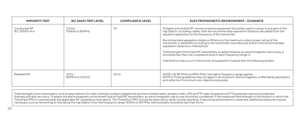| <b>IMMUNITY TEST</b>          | IEC 60601 TEST LEVEL      | <b>COMPLIANCE LEVEL</b> | <b>ELECTROMAGNETIC ENVIRONMENT - GUIDANCE</b>                                                                                                                                                                                                                                                                                                                                                                                                                                                                                                                                                                                                                                                                                                       |
|-------------------------------|---------------------------|-------------------------|-----------------------------------------------------------------------------------------------------------------------------------------------------------------------------------------------------------------------------------------------------------------------------------------------------------------------------------------------------------------------------------------------------------------------------------------------------------------------------------------------------------------------------------------------------------------------------------------------------------------------------------------------------------------------------------------------------------------------------------------------------|
| Conducted RF<br>IFC 61000-4-6 | 3 Vrms<br>150kHz to 80MHz | 3V                      | Portable and mobile RF communications equipment should be used no closer to any part of the<br>higi Station, including cables, than the recommended separation distance calculated from the<br>equation application to the frequency of the transmitter.<br>Recommended separation distance Where p is the maximum output power rating of the<br>transmitter in watts(W) according to the transmitter manufacturer and d is the recommended<br>separation distance in metres(m).b<br>Field strengths form fixed RF transmitters, as determined by an electromagnetic site survey, a<br>should be less than the compliance level in each frequency range. b<br>Interference may occur in the vicinity of equipment marked with the following symbol: |
| Radiated RF                   | 3V/m<br>80MHz to 25GHz    | 3V/m                    | NOTE 1 At 80 MHz and 800 MHz, the higher frequency range applies.<br>NOTE 2 These quidelines may not apply in all situations. Electromagnetic is affected by absorption<br>and reflection from structures, objects and people.                                                                                                                                                                                                                                                                                                                                                                                                                                                                                                                      |

Field strengths from transmitters, such as base stations for radio (cellular/cordless) telephones and land mobile radios, amateur radio, AM and FM radio broadcast and TV broadcast cannot be predicted<br>theoretically with acc necessary, such as reorienting or relocating the higi Station.Over the frequency range 150kHz to 80 MHz, filed strengths should be less than 3V/m.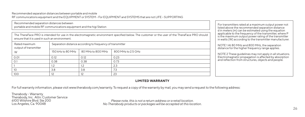Recommended separation distances between portable and mobile RF communications equipment and the EQUIPMENT or SYSTEM – For EQUIPMENT and SYSTEMS that are not LIFE – SUPPORTING

| Recommended separation distances between<br>portable and mobile RF communications equipment and the higi Station                                                                                 |                                                           |                   |                    |  | For transmitters rated at a maximum output power not<br>listed above the recommended separation distance<br>d in meters (m) can be estimated using the equation<br>applicable to the frequency of the transmitter, where P<br>is the maximum output power rating of the transmitter<br>in watts (W) according to the transmitter manufacturer. |
|--------------------------------------------------------------------------------------------------------------------------------------------------------------------------------------------------|-----------------------------------------------------------|-------------------|--------------------|--|------------------------------------------------------------------------------------------------------------------------------------------------------------------------------------------------------------------------------------------------------------------------------------------------------------------------------------------------|
| The TheraFace PRO is intended for use in the electromagnetic environment specified below. The customer or the user of the TheraFace PRO should<br>ensure that it is used in such an environment. |                                                           |                   |                    |  |                                                                                                                                                                                                                                                                                                                                                |
| Rated maximum<br>output of transmitter                                                                                                                                                           | Separation distance according to frequency of transmitter |                   |                    |  | NOTE 1 At 80 MHz and 800 MHz, the separation<br>distance for the higher frequency range applies.                                                                                                                                                                                                                                               |
|                                                                                                                                                                                                  | 150 kHz to 80 MHz                                         | 80 MHz to 800 MHz | 800 MHz to 2.5 GHz |  | NOTE 2 These guidelines may not apply in all situations.<br>Electromagnetic propagation is affected by absorption<br>and reflection from structures, objects and people.                                                                                                                                                                       |
| 0.01                                                                                                                                                                                             | $\Omega$ 12                                               | 012               | 0.23               |  |                                                                                                                                                                                                                                                                                                                                                |
|                                                                                                                                                                                                  | 0.38                                                      | 0.38              | 0.73               |  |                                                                                                                                                                                                                                                                                                                                                |
|                                                                                                                                                                                                  | 1.2                                                       |                   | 2.3                |  |                                                                                                                                                                                                                                                                                                                                                |
|                                                                                                                                                                                                  | 3.8                                                       | 3.8               |                    |  |                                                                                                                                                                                                                                                                                                                                                |
| 100                                                                                                                                                                                              | 12                                                        |                   | 23                 |  |                                                                                                                                                                                                                                                                                                                                                |

#### **LIMITED WARRANTY**

For full warranty information, please visit www.therabody.com/warranty. To request a copy of the warranty by mail, you may send a request to the following address:

Therabody - Warranty Therabody, Inc. Attn: Customer Service 6100 Wilshire Blvd. Ste 200

Los Angeles, Ca. 90048 *Please note, this is not a return address or a retail location. No Therabody products or packages will be accepted at this location.*